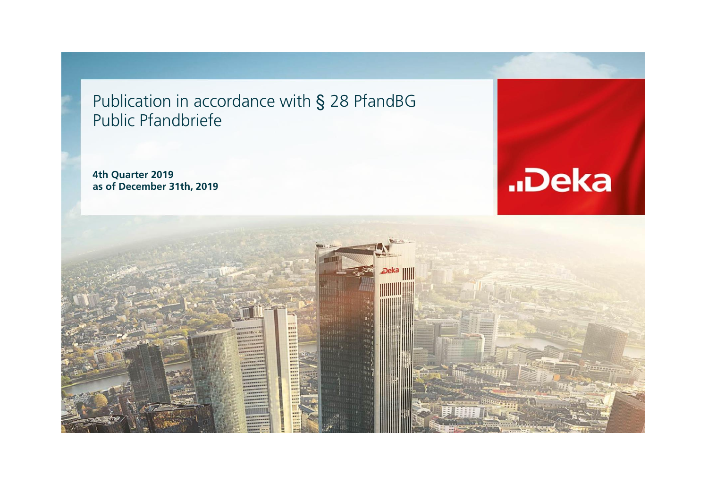Publication in accordance with § 28 PfandBG Public Pfandbriefe

**4th Quarter 2019 as of December 31th, 2019**



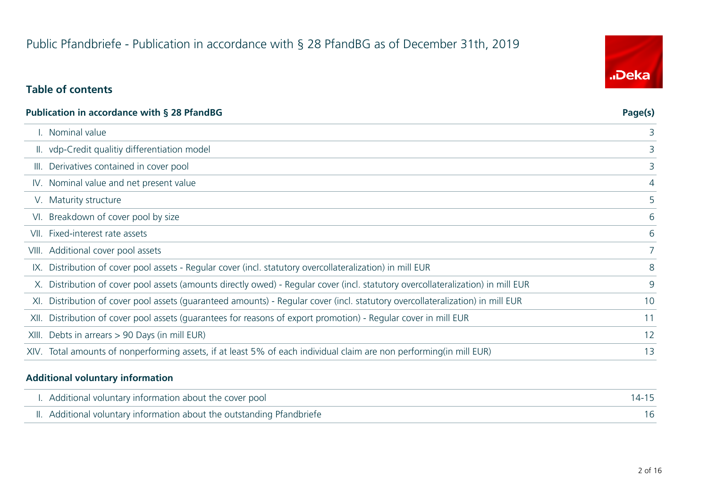# Public Pfandbriefe - Publication in accordance with § 28 PfandBG as of December 31th, 2019

### **Table of contents**

| Publication in accordance with § 28 PfandBG                                                                                      | Page(s)        |
|----------------------------------------------------------------------------------------------------------------------------------|----------------|
| I. Nominal value                                                                                                                 | 3              |
| II. vdp-Credit qualitiy differentiation model                                                                                    |                |
| III. Derivatives contained in cover pool                                                                                         | 3              |
| IV. Nominal value and net present value                                                                                          | $\overline{4}$ |
| V. Maturity structure                                                                                                            | 5              |
| VI. Breakdown of cover pool by size                                                                                              | 6              |
| VII. Fixed-interest rate assets                                                                                                  | 6              |
| VIII. Additional cover pool assets                                                                                               |                |
| IX. Distribution of cover pool assets - Regular cover (incl. statutory overcollateralization) in mill EUR                        | 8              |
| X. Distribution of cover pool assets (amounts directly owed) - Regular cover (incl. statutory overcollateralization) in mill EUR | 9              |
| XI. Distribution of cover pool assets (guaranteed amounts) - Regular cover (incl. statutory overcollateralization) in mill EUR   | 10             |
| XII. Distribution of cover pool assets (quarantees for reasons of export promotion) - Regular cover in mill EUR                  | 11             |
| XIII. Debts in arrears > 90 Days (in mill EUR)                                                                                   | 12             |
| XIV. Total amounts of nonperforming assets, if at least 5% of each individual claim are non performing(in mill EUR)              | 13             |
|                                                                                                                                  |                |

### **Additional voluntary information**

| I. Additional voluntary information about the cover pool               | 14-15 |
|------------------------------------------------------------------------|-------|
| II. Additional voluntary information about the outstanding Pfandbriefe |       |

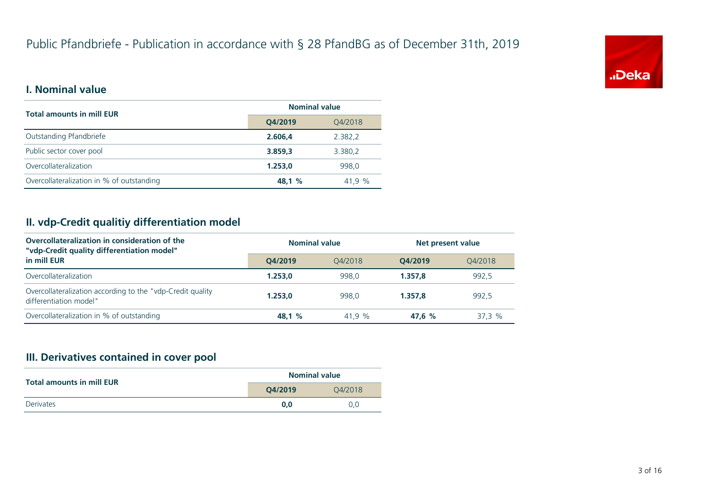

### **I. Nominal value**

| <b>Total amounts in mill EUR</b>          | <b>Nominal value</b> |         |
|-------------------------------------------|----------------------|---------|
|                                           | Q4/2019              | Q4/2018 |
| Outstanding Pfandbriefe                   | 2.606.4              | 2.382,2 |
| Public sector cover pool                  | 3.859,3              | 3.380,2 |
| Overcollateralization                     | 1.253.0              | 998.0   |
| Overcollateralization in % of outstanding | 48.1 %               | 41.9%   |

### **II. vdp-Credit qualitiy differentiation model**

| Overcollateralization in consideration of the<br>"vdp-Credit quality differentiation model" | <b>Nominal value</b> |         | Net present value |         |
|---------------------------------------------------------------------------------------------|----------------------|---------|-------------------|---------|
| in mill EUR                                                                                 | O4/2019              | 04/2018 | O4/2019           | 04/2018 |
| Overcollateralization                                                                       | 1.253.0              | 998.0   | 1.357.8           | 992.5   |
| Overcollateralization according to the "vdp-Credit quality<br>differentiation model"        | 1.253.0              | 998.0   | 1.357.8           | 992,5   |
| Overcollateralization in % of outstanding                                                   | 48.1 %               | 41.9 %  | 47.6 %            | 37.3%   |

### **III. Derivatives contained in cover pool**

| <b>Total amounts in mill EUR</b> | <b>Nominal value</b> |     |
|----------------------------------|----------------------|-----|
|                                  | O4/2019<br>04/2018   |     |
| <b>Derivates</b>                 | 0.0                  | 0.0 |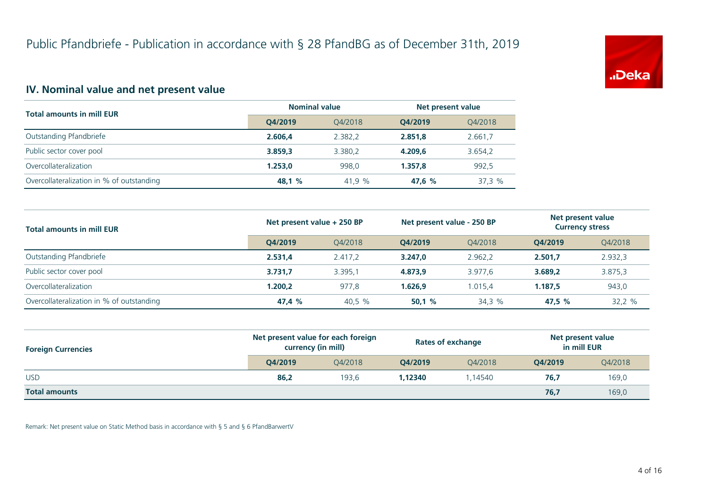

### **IV. Nominal value and net present value**

| <b>Total amounts in mill EUR</b>          | <b>Nominal value</b> |         | Net present value |         |
|-------------------------------------------|----------------------|---------|-------------------|---------|
|                                           | O4/2019              | 04/2018 | O4/2019           | Q4/2018 |
| Outstanding Pfandbriefe                   | 2.606.4              | 2.382.2 | 2.851.8           | 2.661,7 |
| Public sector cover pool                  | 3.859.3              | 3.380.2 | 4.209.6           | 3.654,2 |
| Overcollateralization                     | 1.253.0              | 998.0   | 1.357.8           | 992.5   |
| Overcollateralization in % of outstanding | 48,1 %               | 41,9 %  | 47.6 %            | 37,3 %  |

| <b>Total amounts in mill EUR</b>          | Net present value + 250 BP |         | Net present value - 250 BP |         | Net present value<br><b>Currency stress</b> |         |
|-------------------------------------------|----------------------------|---------|----------------------------|---------|---------------------------------------------|---------|
|                                           | O4/2019                    | O4/2018 | O4/2019                    | 04/2018 | O4/2019                                     | Q4/2018 |
| Outstanding Pfandbriefe                   | 2.531,4                    | 2.417.2 | 3.247.0                    | 2.962.2 | 2.501.7                                     | 2.932,3 |
| Public sector cover pool                  | 3.731.7                    | 3.395.1 | 4.873.9                    | 3.977.6 | 3.689.2                                     | 3.875,3 |
| Overcollateralization                     | 1.200.2                    | 977.8   | 1.626.9                    | 1.015.4 | 1.187.5                                     | 943,0   |
| Overcollateralization in % of outstanding | 47,4 %                     | 40,5 %  | 50.1%                      | 34,3 %  | 47,5 %                                      | 32,2 %  |

| <b>Foreign Currencies</b> | Net present value for each foreign<br>currency (in mill) |         | <b>Rates of exchange</b> |         | Net present value<br>in mill EUR |         |
|---------------------------|----------------------------------------------------------|---------|--------------------------|---------|----------------------------------|---------|
|                           | O4/2019                                                  | 04/2018 | O4/2019                  | 04/2018 | O4/2019                          | Q4/2018 |
| <b>USD</b>                | 86,2                                                     | 193.6   | 1,12340                  | .14540  | 76,7                             | 169,0   |
| <b>Total amounts</b>      |                                                          |         |                          |         | 76,7                             | 169,0   |

Remark: Net present value on Static Method basis in accordance with § 5 and § 6 PfandBarwertV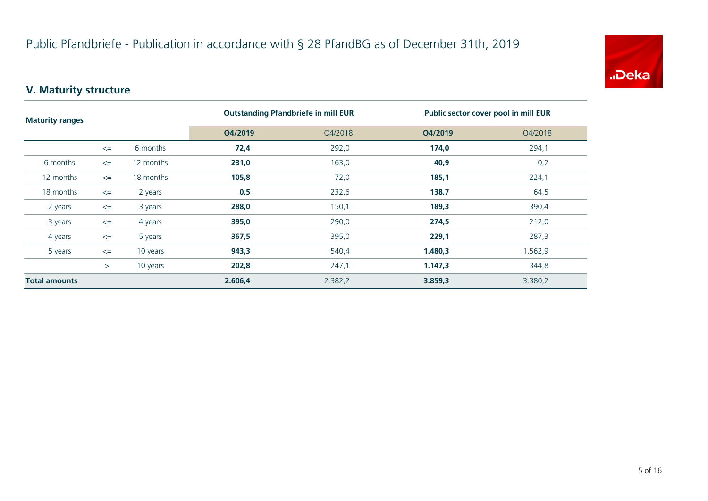

# **V. Maturity structure**

| <b>Maturity ranges</b> |        |           | <b>Outstanding Pfandbriefe in mill EUR</b> |         | Public sector cover pool in mill EUR |         |
|------------------------|--------|-----------|--------------------------------------------|---------|--------------------------------------|---------|
|                        |        | Q4/2019   | Q4/2018                                    | Q4/2019 | Q4/2018                              |         |
|                        | $\leq$ | 6 months  | 72,4                                       | 292,0   | 174,0                                | 294,1   |
| 6 months               | $\leq$ | 12 months | 231,0                                      | 163,0   | 40,9                                 | 0,2     |
| 12 months              | $\leq$ | 18 months | 105,8                                      | 72,0    | 185,1                                | 224,1   |
| 18 months              | $\leq$ | 2 years   | 0,5                                        | 232,6   | 138,7                                | 64,5    |
| 2 years                | $\leq$ | 3 years   | 288,0                                      | 150,1   | 189,3                                | 390,4   |
| 3 years                | $\leq$ | 4 years   | 395,0                                      | 290,0   | 274,5                                | 212,0   |
| 4 years                | $\leq$ | 5 years   | 367,5                                      | 395,0   | 229,1                                | 287,3   |
| 5 years                | $\leq$ | 10 years  | 943,3                                      | 540,4   | 1.480,3                              | 1.562,9 |
|                        | >      | 10 years  | 202,8                                      | 247,1   | 1.147,3                              | 344,8   |
| <b>Total amounts</b>   |        |           | 2.606,4                                    | 2.382,2 | 3.859,3                              | 3.380,2 |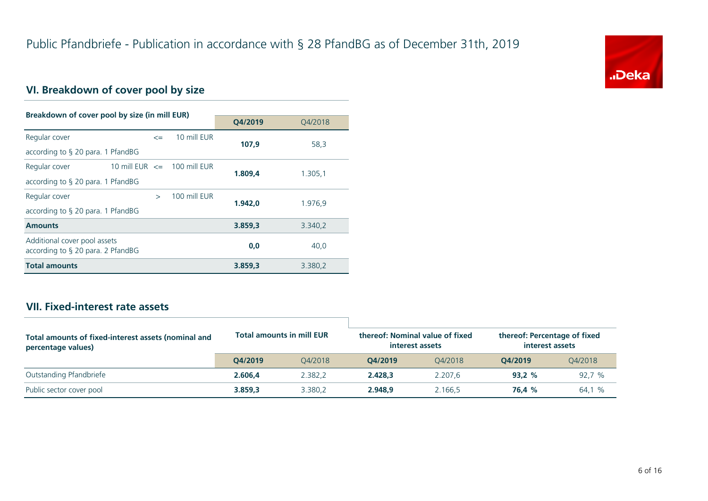

# **VI. Breakdown of cover pool by size**

| Breakdown of cover pool by size (in mill EUR)                        |                                 |               |              |         |         |  |
|----------------------------------------------------------------------|---------------------------------|---------------|--------------|---------|---------|--|
|                                                                      |                                 |               | O4/2019      | 04/2018 |         |  |
| Regular cover                                                        |                                 | $\leq$        | 10 mill EUR  | 107.9   | 58,3    |  |
| according to $\S$ 20 para. 1 PfandBG                                 |                                 |               |              |         |         |  |
| Regular cover                                                        | 10 mill EUR $\leq$ 100 mill EUR |               |              | 1.809,4 | 1.305,1 |  |
| according to $\S$ 20 para. 1 PfandBG                                 |                                 |               |              |         |         |  |
| Regular cover                                                        |                                 | $\rightarrow$ | 100 mill FUR | 1.942.0 | 1.976,9 |  |
| according to $\S$ 20 para. 1 PfandBG                                 |                                 |               |              |         |         |  |
| <b>Amounts</b>                                                       |                                 |               |              | 3.859,3 | 3.340,2 |  |
| Additional cover pool assets<br>according to $\S$ 20 para. 2 PfandBG |                                 |               |              | 0,0     | 40,0    |  |
| <b>Total amounts</b>                                                 |                                 |               |              | 3.859.3 | 3.380,2 |  |

### **VII. Fixed-interest rate assets**

| Total amounts of fixed-interest assets (nominal and<br>percentage values) | <b>Total amounts in mill EUR</b> |         | thereof: Nominal value of fixed<br>interest assets |         | thereof: Percentage of fixed<br>interest assets |         |
|---------------------------------------------------------------------------|----------------------------------|---------|----------------------------------------------------|---------|-------------------------------------------------|---------|
|                                                                           | O4/2019                          | 04/2018 | O4/2019                                            | 04/2018 | O4/2019                                         | Q4/2018 |
| Outstanding Pfandbriefe                                                   | 2.606.4                          | 2.382.2 | 2.428.3                                            | 2.207.6 | 93.2%                                           | 92,7 %  |
| Public sector cover pool                                                  | 3.859.3                          | 3.380.2 | 2.948.9                                            | 2.166.5 | 76.4 %                                          | 64,1 %  |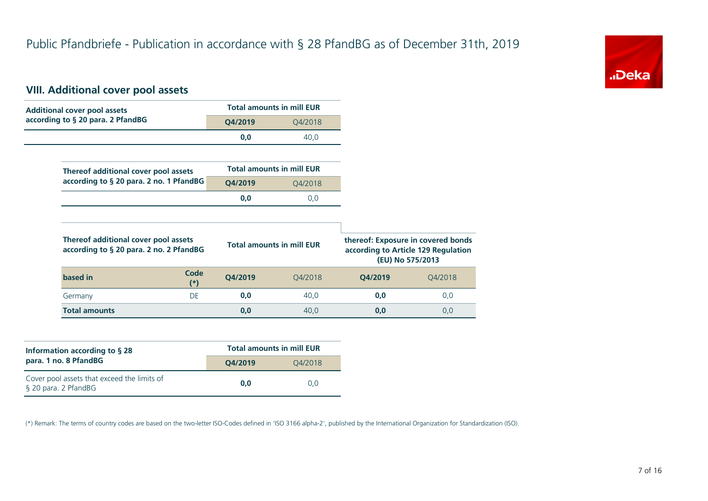

### **VIII. Additional cover pool assets**

| <b>Additional cover pool assets</b>                                             |                      |         | <b>Total amounts in mill EUR</b> |         |                                                         |
|---------------------------------------------------------------------------------|----------------------|---------|----------------------------------|---------|---------------------------------------------------------|
| according to § 20 para. 2 PfandBG                                               |                      | Q4/2019 | Q4/2018                          |         |                                                         |
|                                                                                 |                      | 0,0     | 40,0                             |         |                                                         |
|                                                                                 |                      |         |                                  |         |                                                         |
| Thereof additional cover pool assets                                            |                      |         | <b>Total amounts in mill EUR</b> |         |                                                         |
| according to § 20 para. 2 no. 1 PfandBG                                         |                      | Q4/2019 | Q4/2018                          |         |                                                         |
|                                                                                 |                      | 0,0     | 0,0                              |         |                                                         |
|                                                                                 |                      |         |                                  |         |                                                         |
|                                                                                 |                      |         |                                  |         |                                                         |
| Thereof additional cover pool assets<br>according to § 20 para. 2 no. 2 PfandBG |                      |         | <b>Total amounts in mill EUR</b> |         | according to Article 129 Regulation<br>(EU) No 575/2013 |
| based in                                                                        | <b>Code</b><br>$(*)$ | Q4/2019 | Q4/2018                          | Q4/2019 | thereof: Exposure in covered bonds<br>Q4/2018           |
| Germany                                                                         | DE                   | 0,0     | 40,0                             | 0,0     | 0,0                                                     |

| Information according to $\S$ 28                                    | <b>Total amounts in mill EUR</b> |         |  |  |
|---------------------------------------------------------------------|----------------------------------|---------|--|--|
| para. 1 no. 8 PfandBG                                               | O4/2019                          | 04/2018 |  |  |
| Cover pool assets that exceed the limits of<br>§ 20 para. 2 PfandBG | 0.0                              | 0.0     |  |  |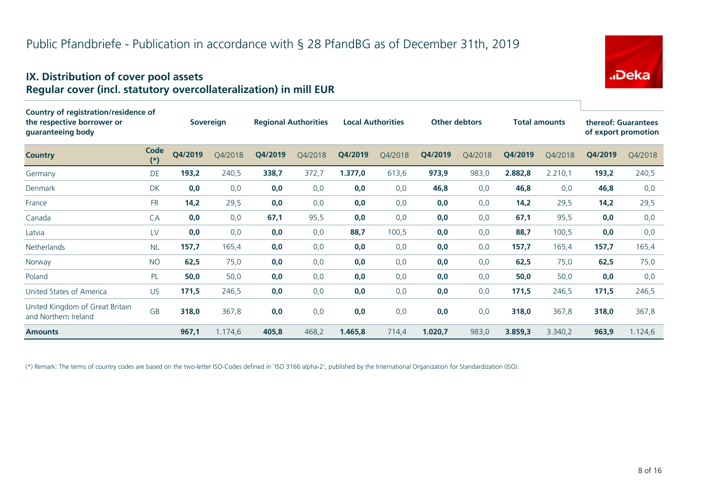# "Deka

### **IX. Distribution of cover pool assets Regular cover (incl. statutory overcollateralization) in mill EUR**

| Country of registration/residence of<br>the respective borrower or<br>guaranteeing body |               |         | <b>Sovereign</b> |         | <b>Regional Authorities</b> |         | <b>Local Authorities</b> |         | <b>Other debtors</b> |         | <b>Total amounts</b> |         | thereof: Guarantees<br>of export promotion |
|-----------------------------------------------------------------------------------------|---------------|---------|------------------|---------|-----------------------------|---------|--------------------------|---------|----------------------|---------|----------------------|---------|--------------------------------------------|
| <b>Country</b>                                                                          | Code<br>$(*)$ | Q4/2019 | O4/2018          | Q4/2019 | Q4/2018                     | Q4/2019 | Q4/2018                  | Q4/2019 | Q4/2018              | Q4/2019 | Q4/2018              | Q4/2019 | Q4/2018                                    |
| Germany                                                                                 | DE            | 193,2   | 240,5            | 338,7   | 372,7                       | 1.377,0 | 613,6                    | 973,9   | 983,0                | 2.882,8 | 2.210,1              | 193,2   | 240,5                                      |
| Denmark                                                                                 | <b>DK</b>     | 0,0     | 0,0              | 0,0     | 0,0                         | 0,0     | 0,0                      | 46,8    | 0,0                  | 46,8    | 0,0                  | 46,8    | 0,0                                        |
| France                                                                                  | <b>FR</b>     | 14,2    | 29,5             | 0,0     | 0,0                         | 0,0     | 0,0                      | 0,0     | 0,0                  | 14,2    | 29,5                 | 14,2    | 29,5                                       |
| Canada                                                                                  | CA            | 0,0     | 0,0              | 67,1    | 95,5                        | 0,0     | 0,0                      | 0,0     | 0,0                  | 67,1    | 95,5                 | 0,0     | 0,0                                        |
| Latvia                                                                                  | LV            | 0,0     | 0,0              | 0,0     | 0,0                         | 88,7    | 100,5                    | 0,0     | 0,0                  | 88,7    | 100,5                | 0,0     | 0,0                                        |
| Netherlands                                                                             | <b>NL</b>     | 157,7   | 165,4            | 0,0     | 0,0                         | 0,0     | 0,0                      | 0,0     | 0,0                  | 157,7   | 165,4                | 157,7   | 165,4                                      |
| Norway                                                                                  | <b>NO</b>     | 62,5    | 75,0             | 0,0     | 0,0                         | 0,0     | 0,0                      | 0,0     | 0,0                  | 62,5    | 75,0                 | 62,5    | 75,0                                       |
| Poland                                                                                  | PL            | 50,0    | 50,0             | 0,0     | 0,0                         | 0,0     | 0,0                      | 0,0     | 0,0                  | 50,0    | 50,0                 | 0,0     | 0,0                                        |
| United States of America                                                                | <b>US</b>     | 171,5   | 246,5            | 0,0     | 0,0                         | 0,0     | 0,0                      | 0,0     | 0,0                  | 171,5   | 246,5                | 171,5   | 246,5                                      |
| United Kingdom of Great Britain<br>and Northern Ireland                                 | <b>GB</b>     | 318,0   | 367,8            | 0,0     | 0,0                         | 0,0     | 0,0                      | 0,0     | 0,0                  | 318,0   | 367,8                | 318,0   | 367,8                                      |
| <b>Amounts</b>                                                                          |               | 967,1   | 1.174,6          | 405,8   | 468,2                       | 1.465,8 | 714,4                    | 1.020,7 | 983,0                | 3.859,3 | 3.340,2              | 963,9   | 1.124,6                                    |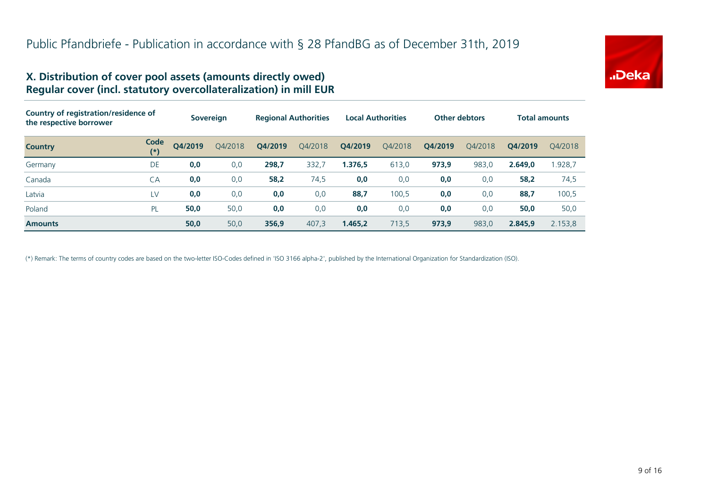

### **X. Distribution of cover pool assets (amounts directly owed) Regular cover (incl. statutory overcollateralization) in mill EUR**

| Country of registration/residence of<br>the respective borrower |               | <b>Sovereign</b> |         | <b>Regional Authorities</b> |         | <b>Local Authorities</b> |         | <b>Other debtors</b> |         | <b>Total amounts</b> |         |
|-----------------------------------------------------------------|---------------|------------------|---------|-----------------------------|---------|--------------------------|---------|----------------------|---------|----------------------|---------|
| <b>Country</b>                                                  | Code<br>$(*)$ | Q4/2019          | Q4/2018 | O4/2019                     | Q4/2018 | Q4/2019                  | Q4/2018 | Q4/2019              | 04/2018 | O4/2019              | 04/2018 |
| Germany                                                         | DE            | 0,0              | 0,0     | 298,7                       | 332,7   | 1.376,5                  | 613,0   | 973,9                | 983,0   | 2.649.0              | .928,7  |
| Canada                                                          | CA            | 0,0              | 0,0     | 58,2                        | 74,5    | 0,0                      | 0,0     | 0,0                  | 0,0     | 58,2                 | 74,5    |
| Latvia                                                          | LV            | 0,0              | 0,0     | 0,0                         | 0,0     | 88,7                     | 100,5   | 0,0                  | 0,0     | 88,7                 | 100,5   |
| Poland                                                          | PL            | 50,0             | 50,0    | 0,0                         | 0,0     | 0,0                      | 0,0     | 0,0                  | 0,0     | 50,0                 | 50,0    |
| <b>Amounts</b>                                                  |               | 50,0             | 50,0    | 356,9                       | 407.3   | 1.465.2                  | 713,5   | 973,9                | 983,0   | 2.845.9              | 2.153,8 |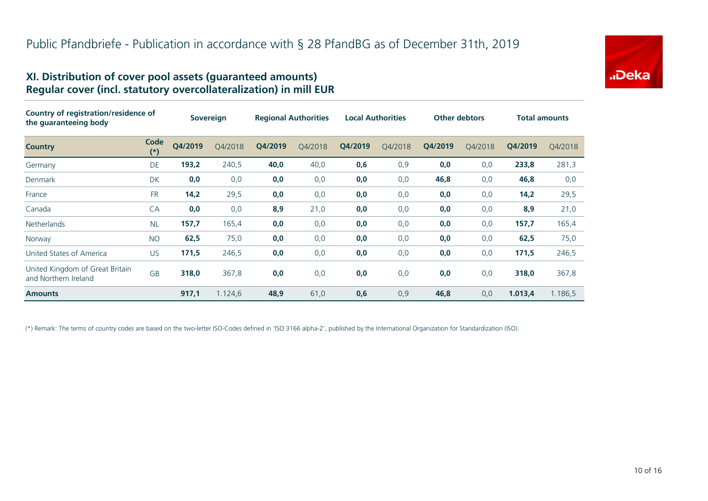

### **XI. Distribution of cover pool assets (guaranteed amounts) Regular cover (incl. statutory overcollateralization) in mill EUR**

| Country of registration/residence of<br>the quaranteeing body |               | <b>Sovereign</b> |         | <b>Regional Authorities</b> |         | <b>Local Authorities</b> |         | <b>Other debtors</b> |         | <b>Total amounts</b> |         |
|---------------------------------------------------------------|---------------|------------------|---------|-----------------------------|---------|--------------------------|---------|----------------------|---------|----------------------|---------|
| <b>Country</b>                                                | Code<br>$(*)$ | Q4/2019          | Q4/2018 | Q4/2019                     | Q4/2018 | Q4/2019                  | Q4/2018 | Q4/2019              | Q4/2018 | Q4/2019              | Q4/2018 |
| Germany                                                       | DE            | 193,2            | 240,5   | 40,0                        | 40,0    | 0,6                      | 0,9     | 0,0                  | 0,0     | 233,8                | 281,3   |
| Denmark                                                       | DK            | 0,0              | 0,0     | 0,0                         | 0,0     | 0,0                      | 0,0     | 46,8                 | 0,0     | 46,8                 | 0,0     |
| France                                                        | <b>FR</b>     | 14,2             | 29,5    | 0,0                         | 0,0     | 0,0                      | 0,0     | 0,0                  | 0,0     | 14,2                 | 29,5    |
| Canada                                                        | CA            | 0,0              | 0,0     | 8,9                         | 21,0    | 0,0                      | 0,0     | 0,0                  | 0,0     | 8,9                  | 21,0    |
| <b>Netherlands</b>                                            | <b>NL</b>     | 157,7            | 165,4   | 0,0                         | 0,0     | 0,0                      | 0,0     | 0,0                  | 0,0     | 157,7                | 165,4   |
| Norway                                                        | <b>NO</b>     | 62,5             | 75,0    | 0,0                         | 0,0     | 0,0                      | 0,0     | 0,0                  | 0,0     | 62,5                 | 75,0    |
| United States of America                                      | <b>US</b>     | 171,5            | 246,5   | 0,0                         | 0,0     | 0,0                      | 0,0     | 0,0                  | 0,0     | 171,5                | 246,5   |
| United Kingdom of Great Britain<br>and Northern Ireland       | <b>GB</b>     | 318,0            | 367,8   | 0,0                         | 0,0     | 0,0                      | 0,0     | 0,0                  | 0,0     | 318,0                | 367,8   |
| <b>Amounts</b>                                                |               | 917,1            | 1.124,6 | 48,9                        | 61,0    | 0,6                      | 0,9     | 46,8                 | 0,0     | 1.013,4              | 1.186,5 |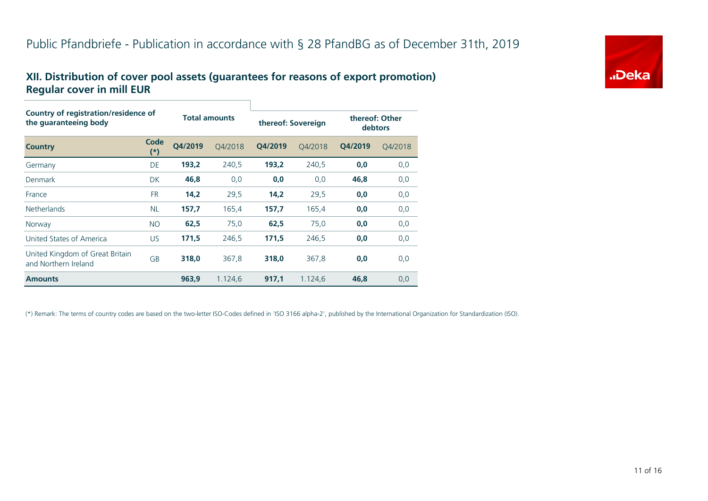# **.Deka**

### **XII. Distribution of cover pool assets (guarantees for reasons of export promotion) Regular cover in mill EUR**

| Country of registration/residence of<br>the guaranteeing body |               | <b>Total amounts</b> |         | thereof: Sovereign |         | thereof: Other<br>debtors |         |  |
|---------------------------------------------------------------|---------------|----------------------|---------|--------------------|---------|---------------------------|---------|--|
| <b>Country</b>                                                | Code<br>$(*)$ | O4/2019              | O4/2018 | O4/2019            | 04/2018 | O4/2019                   | Q4/2018 |  |
| Germany                                                       | DE            | 193,2                | 240,5   | 193,2              | 240,5   | 0,0                       | 0,0     |  |
| Denmark                                                       | <b>DK</b>     | 46,8                 | 0,0     | 0,0                | 0,0     | 46,8                      | 0,0     |  |
| France                                                        | <b>FR</b>     | 14,2                 | 29,5    | 14,2               | 29,5    | 0,0                       | 0,0     |  |
| <b>Netherlands</b>                                            | <b>NL</b>     | 157,7                | 165,4   | 157,7              | 165,4   | 0,0                       | 0,0     |  |
| Norway                                                        | <b>NO</b>     | 62,5                 | 75,0    | 62,5               | 75,0    | 0,0                       | 0,0     |  |
| United States of America                                      | US.           | 171,5                | 246,5   | 171,5              | 246,5   | 0,0                       | 0,0     |  |
| United Kingdom of Great Britain<br>and Northern Ireland       | GB            | 318,0                | 367,8   | 318,0              | 367,8   | 0,0                       | 0,0     |  |
| <b>Amounts</b>                                                |               | 963,9                | 1.124,6 | 917,1              | 1.124,6 | 46,8                      | 0,0     |  |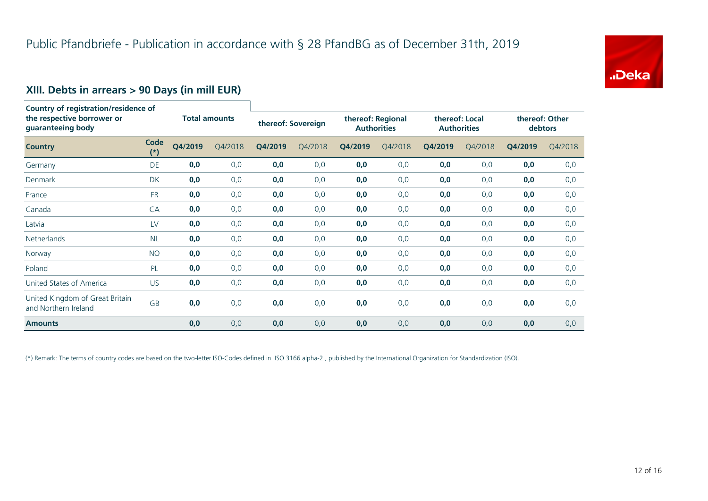

### **XIII. Debts in arrears > 90 Days (in mill EUR)**

| Country of registration/residence of<br>the respective borrower or<br>guaranteeing body |                      | <b>Total amounts</b> |         | thereof: Sovereign |         | thereof: Regional<br><b>Authorities</b> |         | thereof: Local<br><b>Authorities</b> |         | thereof: Other<br>debtors |         |
|-----------------------------------------------------------------------------------------|----------------------|----------------------|---------|--------------------|---------|-----------------------------------------|---------|--------------------------------------|---------|---------------------------|---------|
| <b>Country</b>                                                                          | <b>Code</b><br>$(*)$ | Q4/2019              | Q4/2018 | Q4/2019            | Q4/2018 | Q4/2019                                 | Q4/2018 | Q4/2019                              | Q4/2018 | Q4/2019                   | Q4/2018 |
| Germany                                                                                 | DE                   | 0,0                  | 0,0     | 0,0                | 0,0     | 0,0                                     | 0,0     | 0,0                                  | 0,0     | 0,0                       | 0,0     |
| Denmark                                                                                 | DK                   | 0,0                  | 0,0     | 0,0                | 0,0     | 0,0                                     | 0,0     | 0,0                                  | 0,0     | 0,0                       | 0,0     |
| France                                                                                  | <b>FR</b>            | 0,0                  | 0,0     | 0,0                | 0,0     | 0,0                                     | 0,0     | 0,0                                  | 0,0     | 0,0                       | 0,0     |
| Canada                                                                                  | CA                   | 0,0                  | 0,0     | 0,0                | 0,0     | 0,0                                     | 0,0     | 0,0                                  | 0,0     | 0,0                       | 0,0     |
| Latvia                                                                                  | LV                   | 0,0                  | 0,0     | 0,0                | 0,0     | 0,0                                     | 0,0     | 0,0                                  | 0,0     | 0,0                       | 0,0     |
| <b>Netherlands</b>                                                                      | <b>NL</b>            | 0,0                  | 0,0     | 0,0                | 0,0     | 0,0                                     | 0,0     | 0,0                                  | 0,0     | 0,0                       | 0,0     |
| Norway                                                                                  | <b>NO</b>            | 0,0                  | 0,0     | 0,0                | 0,0     | 0,0                                     | 0,0     | 0,0                                  | 0,0     | 0,0                       | 0,0     |
| Poland                                                                                  | PL                   | 0,0                  | 0,0     | 0,0                | 0,0     | 0,0                                     | 0,0     | 0,0                                  | 0,0     | 0,0                       | 0,0     |
| United States of America                                                                | <b>US</b>            | 0,0                  | 0,0     | 0,0                | 0,0     | 0,0                                     | 0,0     | 0,0                                  | 0,0     | 0,0                       | 0,0     |
| United Kingdom of Great Britain<br>and Northern Ireland                                 | <b>GB</b>            | 0,0                  | 0,0     | 0,0                | 0,0     | 0,0                                     | 0,0     | 0,0                                  | 0,0     | 0,0                       | 0,0     |
| <b>Amounts</b>                                                                          |                      | 0,0                  | 0,0     | 0,0                | 0,0     | 0,0                                     | 0,0     | 0,0                                  | 0,0     | 0,0                       | 0,0     |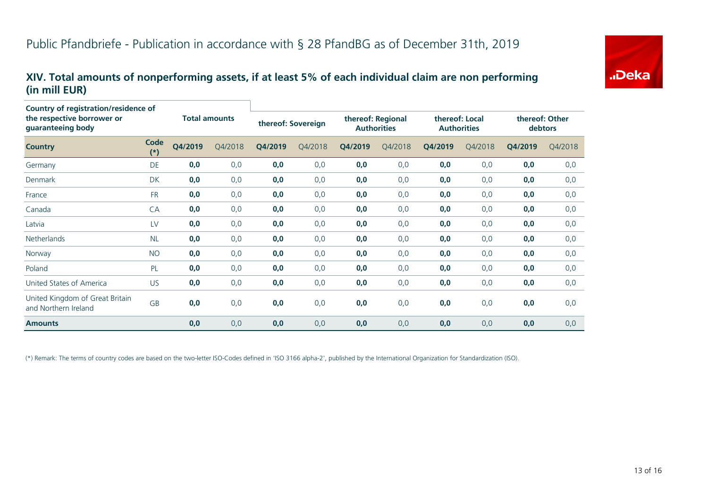

### **XIV. Total amounts of nonperforming assets, if at least 5% of each individual claim are non performing (in mill EUR)**

| Country of registration/residence of<br>the respective borrower or<br>guaranteeing body |               | <b>Total amounts</b> |         | thereof: Sovereign |         | thereof: Regional<br><b>Authorities</b> |         | thereof: Local<br><b>Authorities</b> |         | thereof: Other<br>debtors |         |
|-----------------------------------------------------------------------------------------|---------------|----------------------|---------|--------------------|---------|-----------------------------------------|---------|--------------------------------------|---------|---------------------------|---------|
| <b>Country</b>                                                                          | Code<br>$(*)$ | Q4/2019              | Q4/2018 | Q4/2019            | Q4/2018 | Q4/2019                                 | Q4/2018 | Q4/2019                              | Q4/2018 | Q4/2019                   | Q4/2018 |
| Germany                                                                                 | DE            | 0,0                  | 0,0     | 0,0                | 0,0     | 0,0                                     | 0,0     | 0,0                                  | 0,0     | 0,0                       | 0,0     |
| Denmark                                                                                 | <b>DK</b>     | 0,0                  | 0,0     | 0,0                | 0,0     | 0,0                                     | 0,0     | 0,0                                  | 0,0     | 0,0                       | 0,0     |
| France                                                                                  | <b>FR</b>     | 0,0                  | 0,0     | 0,0                | 0,0     | 0,0                                     | 0, 0    | 0,0                                  | 0,0     | 0,0                       | 0,0     |
| Canada                                                                                  | CA            | 0,0                  | 0,0     | 0,0                | 0,0     | 0,0                                     | 0,0     | 0,0                                  | 0,0     | 0,0                       | 0,0     |
| Latvia                                                                                  | LV            | 0,0                  | 0,0     | 0,0                | 0,0     | 0,0                                     | 0,0     | 0,0                                  | 0,0     | 0,0                       | 0,0     |
| <b>Netherlands</b>                                                                      | <b>NL</b>     | 0,0                  | 0,0     | 0,0                | 0,0     | 0,0                                     | 0, 0    | 0,0                                  | 0,0     | 0,0                       | 0,0     |
| Norway                                                                                  | <b>NO</b>     | 0,0                  | 0,0     | 0,0                | 0,0     | 0,0                                     | 0,0     | 0,0                                  | 0,0     | 0,0                       | 0,0     |
| Poland                                                                                  | PL            | 0,0                  | 0,0     | 0,0                | 0,0     | 0,0                                     | 0, 0    | 0,0                                  | 0,0     | 0,0                       | 0,0     |
| United States of America                                                                | <b>US</b>     | 0,0                  | 0,0     | 0,0                | 0,0     | 0,0                                     | 0,0     | 0,0                                  | 0,0     | 0,0                       | 0,0     |
| United Kingdom of Great Britain<br>and Northern Ireland                                 | GB            | 0,0                  | 0,0     | 0,0                | 0,0     | 0,0                                     | 0,0     | 0,0                                  | 0,0     | 0,0                       | 0,0     |
| <b>Amounts</b>                                                                          |               | 0,0                  | 0,0     | 0,0                | 0,0     | 0,0                                     | 0,0     | 0,0                                  | 0,0     | 0,0                       | 0,0     |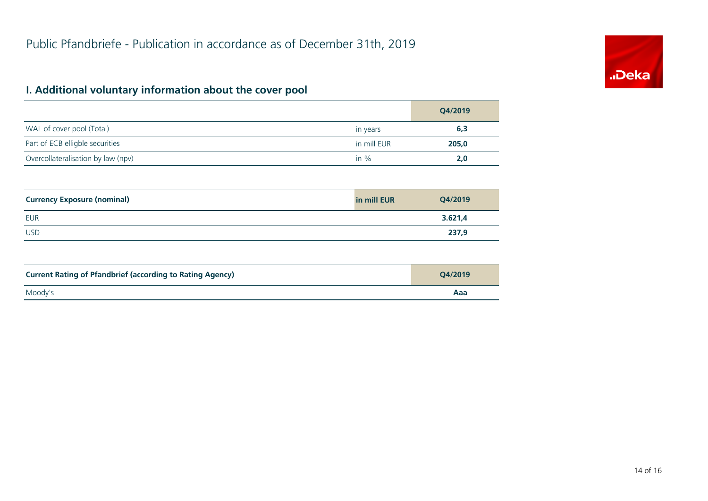

# **I. Additional voluntary information about the cover pool**

|                                    |             | Q4/2019 |
|------------------------------------|-------------|---------|
| WAL of cover pool (Total)          | in years    | 6,3     |
| Part of ECB elligble securities    | in mill EUR | 205,0   |
| Overcollateralisation by law (npv) | in $%$      | 2.0     |

| <b>Currency Exposure (nominal)</b> | in mill EUR | Q4/2019 |
|------------------------------------|-------------|---------|
| <b>EUR</b>                         |             | 3.621,4 |
| <b>USD</b>                         |             | 237,9   |

| <b>Current Rating of Pfandbrief (according to Rating Agency)</b> | O4/2019 |
|------------------------------------------------------------------|---------|
| Moody's                                                          | Aaa     |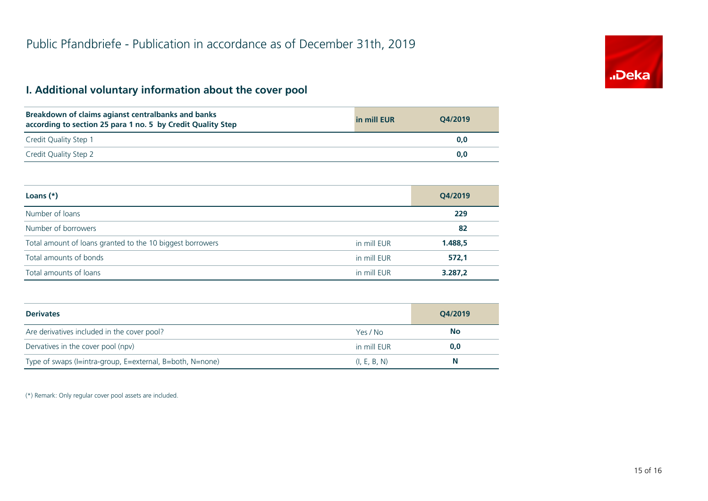# **I. Additional voluntary information about the cover pool**

| Breakdown of claims agianst centralbanks and banks<br>according to section 25 para 1 no. 5 by Credit Quality Step | in mill EUR | O4/2019 |
|-------------------------------------------------------------------------------------------------------------------|-------------|---------|
| Credit Quality Step 1                                                                                             |             | 0.0     |
| Credit Quality Step 2                                                                                             |             | 0.0     |

| Loans $(*)$                                               |             | Q4/2019 |
|-----------------------------------------------------------|-------------|---------|
| Number of loans                                           |             | 229     |
| Number of borrowers                                       |             | 82      |
| Total amount of loans granted to the 10 biggest borrowers | in mill EUR | 1.488,5 |
| Total amounts of bonds                                    | in mill EUR | 572,1   |
| Total amounts of loans                                    | in mill EUR | 3.287,2 |

| <b>Derivates</b>                                          |              | O4/2019   |
|-----------------------------------------------------------|--------------|-----------|
| Are derivatives included in the cover pool?               | Yes / No     | <b>No</b> |
| Dervatives in the cover pool (npv)                        | in mill EUR  | 0,0       |
| Type of swaps (I=intra-group, E=external, B=both, N=none) | (I, E, B, N) | N         |

(\*) Remark: Only regular cover pool assets are included.